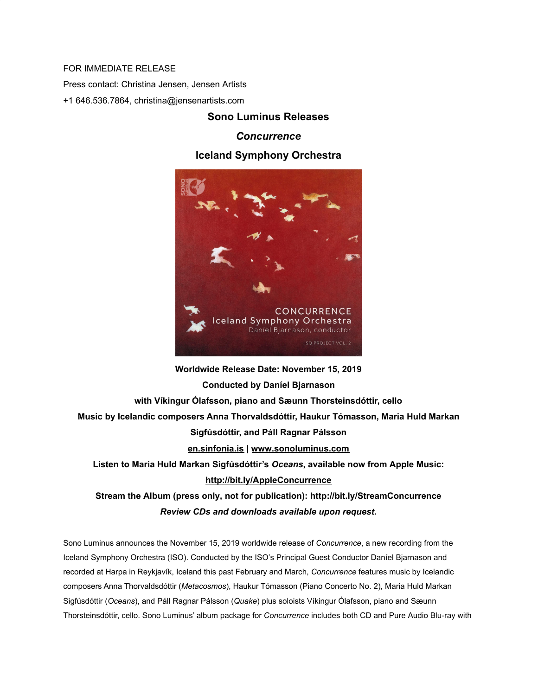## FOR IMMEDIATE RELEASE

Press contact: Christina Jensen, Jensen Artists

+1 646.536.7864, christina@jensenartists.com

## **Sono Luminus Releases**

## *Concurrence*

## **Iceland Symphony Orchestra**



**Worldwide Release Date: November 15, 2019 Conducted by Daníel Bjarnason with Víkingur Ólafsson, piano and Sæunn Thorsteinsdóttir, cello Music by Icelandic composers Anna Thorvaldsdóttir, Haukur Tómasson, Maria Huld Markan Sigfúsdóttir, and Páll Ragnar Pálsson [en.sinfonia.is](https://u7061146.ct.sendgrid.net/wf/click?upn=LCWXw20iScCJfY-2FVzHozNxHVn94AirvceKgQlNpZg3w-3D_DruDjhchMBr5xQkz3h1qcOnjZc-2BCsAVhraQ7DxYhbA2-2BHLQf-2BHKWaWi2FTM7QHo-2Fd7eCMDRMAhfd2mcWSs-2FpzNW9MmuPwV7rH-2FbDd7DdSSaDPH6X9I97JmAQ3i266v1ExFKcDBz8YDaPq-2B8GonzUCOR2sraiSX6FSrhehxWJbuXgfAW4f2r9SSkrQJbvcN27-2BHfUqcS2WTH19inPz9Sm-2Fb-2BMLNruhnIHsItnmFN1AvhsbhIDV6nEZuPWVjCmq6-2BKQNUOWa0Rc7kLGcUE-2BCqzFqdvphl1PEiCqSYdSJZFOohIT7KsNOpTQ-2FpyF7ryvRtGCjOhVu2HOlTmwYfZRK5csA2Kp9-2B-2FJcVNiE7wRnR3hC0-3D) | [www.sonoluminus.com](https://u7061146.ct.sendgrid.net/wf/click?upn=84Em28S1K9SvtzcUtu04ErPoeodTSUCmqLpgfy6M9NrKxoFRv64z3xh-2BsFfiMv6D_DruDjhchMBr5xQkz3h1qcOnjZc-2BCsAVhraQ7DxYhbA2-2BHLQf-2BHKWaWi2FTM7QHo-2Fd7eCMDRMAhfd2mcWSs-2FpzNW9MmuPwV7rH-2FbDd7DdSSaDPH6X9I97JmAQ3i266v1ExFKcDBz8YDaPq-2B8GonzUCOR2sraiSX6FSrhehxWJbuXgfAW4f2r9SSkrQJbvcN27-2BHfUqcS2WTH19inPz9Sm-2FcS4xy0oIZ45PpIRGVcNSzhi9DUY3xwu-2FDwJU8B3n2TFBX2kxsZm0b2Gt0ae3F1dSpUmObapZwSaVqTKApmr1l6cjDEnS4yvnTN4BSSGXXh8soaSCg5zd-2Bq2k9ROnAN-2BZqazP1pqXvnHt-2BT5u9ljHmQ-3D) Listen to Maria Huld Markan Sigfúsdóttir's** *Oceans***, available now from Apple Music: [http://bit.ly/AppleConcurrence](https://u7061146.ct.sendgrid.net/wf/click?upn=v19UDW8FsixrCS-2Fm9-2By91NWQsi-2BFQYjJHv0b7soL78Dj1z5SDgVazzlHZVjmySC-2B_DruDjhchMBr5xQkz3h1qcOnjZc-2BCsAVhraQ7DxYhbA2-2BHLQf-2BHKWaWi2FTM7QHo-2Fd7eCMDRMAhfd2mcWSs-2FpzNW9MmuPwV7rH-2FbDd7DdSSaDPH6X9I97JmAQ3i266v1ExFKcDBz8YDaPq-2B8GonzUCOR2sraiSX6FSrhehxWJbuXgfAW4f2r9SSkrQJbvcN27-2BHfUqcS2WTH19inPz9Sm-2FcXbMxjf-2F98CFxMqvzNjGQCXpDDTnRpocbtf2kBKskbL3ntE8RxchYRGsmPWynKiotLttaZpr04OU8Vbi7AOwc9uFAqZ7tHcyyilRgFVyarO6EJzuv-2B0V5x4DGZthZL8c4LwO-2FDlKPZD6SL1b7RVNp4-3D) Stream the Album (press only, not for publication): [http://bit.ly/StreamConcurrence](https://u7061146.ct.sendgrid.net/wf/click?upn=v19UDW8FsixrCS-2Fm9-2By91MckIQ66GuUMR17peqKjmjxttliHY-2BKSkMhX-2FbwEKAXI_DruDjhchMBr5xQkz3h1qcOnjZc-2BCsAVhraQ7DxYhbA2-2BHLQf-2BHKWaWi2FTM7QHo-2Fd7eCMDRMAhfd2mcWSs-2FpzNW9MmuPwV7rH-2FbDd7DdSSaDPH6X9I97JmAQ3i266v1ExFKcDBz8YDaPq-2B8GonzUCOR2sraiSX6FSrhehxWJbuXgfAW4f2r9SSkrQJbvcN27-2BHfUqcS2WTH19inPz9Sm-2FZqu0IXmh-2BZVmXENUv61iarrmIt-2BSGu6O5Fi8KncKS71-2FKqaB4nIkE2tj1eDY38TZfg4QUoGRhgCEDm6HW-2BSpSIptfBn4vxMdMM84fMov42u6-2BnSnOuQvqqi0Idd9nTCEZLTa5-2F6ZEk9FCNHXo0fIYo-3D)**

*Review CDs and downloads available upon request.*

Sono Luminus announces the November 15, 2019 worldwide release of *Concurrence*, a new recording from the Iceland Symphony Orchestra (ISO). Conducted by the ISO's Principal Guest Conductor Daníel Bjarnason and recorded at Harpa in Reykjavík, Iceland this past February and March, *Concurrence* features music by Icelandic composers Anna Thorvaldsdóttir ( *Metacosmos*), Haukur Tómasson (Piano Concerto No. 2), Maria Huld Markan Sigfúsdóttir ( *Oceans*), and Páll Ragnar Pálsson ( *Quake*) plus soloists Víkingur Ólafsson, piano and Sæunn Thorsteinsdóttir, cello. Sono Luminus' album package for *Concurrence* includes both CD and Pure Audio Blu-ray with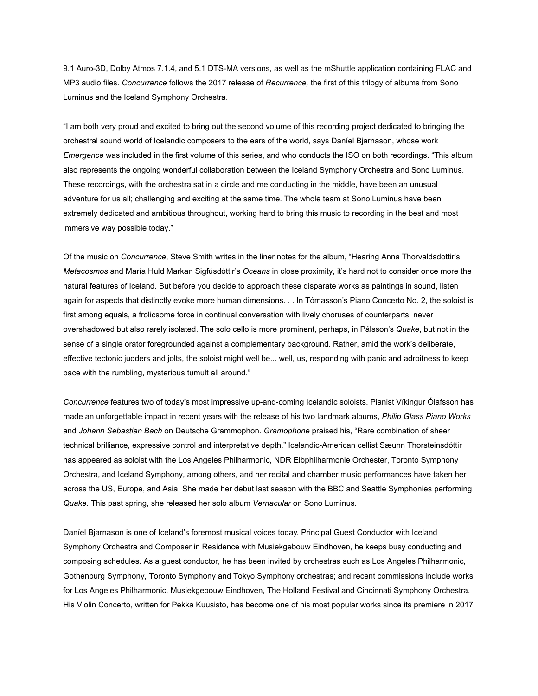9.1 Auro-3D, Dolby Atmos 7.1.4, and 5.1 DTS-MA versions, as well as the mShuttle application containing FLAC and MP3 audio files. *Concurrence* follows the 2017 release of *Recurrence,* the first of this trilogy of albums from Sono Luminus and the Iceland Symphony Orchestra.

"I am both very proud and excited to bring out the second volume of this recording project dedicated to bringing the orchestral sound world of Icelandic composers to the ears of the world, says Daníel Bjarnason, whose work *Emergence* was included in the first volume of this series, and who conducts the ISO on both recordings. "This album also represents the ongoing wonderful collaboration between the Iceland Symphony Orchestra and Sono Luminus. These recordings, with the orchestra sat in a circle and me conducting in the middle, have been an unusual adventure for us all; challenging and exciting at the same time. The whole team at Sono Luminus have been extremely dedicated and ambitious throughout, working hard to bring this music to recording in the best and most immersive way possible today."

Of the music on *Concurrence*, Steve Smith writes in the liner notes for the album, "Hearing Anna Thorvaldsdottir's *Metacosmos* and María Huld Markan Sigfúsdóttir's *Oceans* in close proximity, it's hard not to consider once more the natural features of Iceland. But before you decide to approach these disparate works as paintings in sound, listen again for aspects that distinctly evoke more human dimensions. . . In Tómasson's Piano Concerto No. 2, the soloist is first among equals, a frolicsome force in continual conversation with lively choruses of counterparts, never overshadowed but also rarely isolated. The solo cello is more prominent, perhaps, in Pálsson's *Quake*, but not in the sense of a single orator foregrounded against a complementary background. Rather, amid the work's deliberate, effective tectonic judders and jolts, the soloist might well be... well, us, responding with panic and adroitness to keep pace with the rumbling, mysterious tumult all around."

*Concurrence* features two of today's most impressive up-and-coming Icelandic soloists. Pianist Víkingur Ólafsson has made an unforgettable impact in recent years with the release of his two landmark albums, *Philip Glass Piano Works* and *Johann Sebastian Bach* on Deutsche Grammophon. *Gramophone* praised his, "Rare combination of sheer technical brilliance, expressive control and interpretative depth." Icelandic-American cellist Sæunn Thorsteinsdóttir has appeared as soloist with the Los Angeles Philharmonic, NDR Elbphilharmonie Orchester, Toronto Symphony Orchestra, and Iceland Symphony, among others, and her recital and chamber music performances have taken her across the US, Europe, and Asia. She made her debut last season with the BBC and Seattle Symphonies performing *Quake*. This past spring, she released her solo album *Vernacular* on Sono Luminus.

Daníel Bjarnason is one of Iceland's foremost musical voices today. Principal Guest Conductor with Iceland Symphony Orchestra and Composer in Residence with Musiekgebouw Eindhoven, he keeps busy conducting and composing schedules. As a guest conductor, he has been invited by orchestras such as Los Angeles Philharmonic, Gothenburg Symphony, Toronto Symphony and Tokyo Symphony orchestras; and recent commissions include works for Los Angeles Philharmonic, Musiekgebouw Eindhoven, The Holland Festival and Cincinnati Symphony Orchestra. His Violin Concerto, written for Pekka Kuusisto, has become one of his most popular works since its premiere in 2017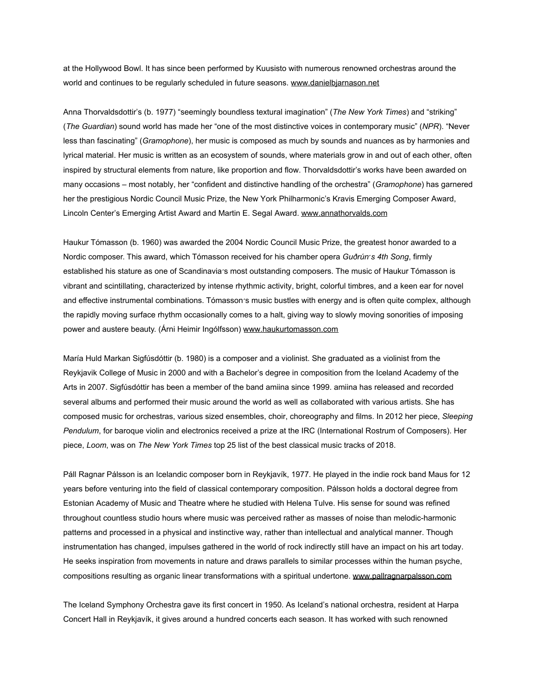at the Hollywood Bowl. It has since been performed by Kuusisto with numerous renowned orchestras around the world and continues to be regularly scheduled in future seasons. [www.danielbjarnason.net](https://u7061146.ct.sendgrid.net/wf/click?upn=84Em28S1K9SvtzcUtu04EmX-2F4nKnApIjTGcJuJxolBQpGoUDH-2BxLwQ3YgzrxOXfa_DruDjhchMBr5xQkz3h1qcOnjZc-2BCsAVhraQ7DxYhbA2-2BHLQf-2BHKWaWi2FTM7QHo-2Fd7eCMDRMAhfd2mcWSs-2FpzNW9MmuPwV7rH-2FbDd7DdSSaDPH6X9I97JmAQ3i266v1ExFKcDBz8YDaPq-2B8GonzUCOR2sraiSX6FSrhehxWJbuXgfAW4f2r9SSkrQJbvcN27-2BHfUqcS2WTH19inPz9Sm-2FToXIoBmZCb6SObokbKA3bO56uIch03YFIkXwuZLrh8CcSMjqpO-2BDj9wWW0rVE-2Btbrm8nyFXEEHt6hdXHljl5dNG5sCtM4Na1ML1blsweV3Snn-2FfQy-2B4T5iiD0bzWsxTcJ8ENQsNcNd-2FqWEmR1cDvvU-3D)

Anna Thorvaldsdottir's (b. 1977) "seemingly boundless textural imagination" (*The New York Times*) and "striking" (*The Guardian*) sound world has made her "one of the most distinctive voices in contemporary music" (*NPR*). "Never less than fascinating" (*Gramophone*), her music is composed as much by sounds and nuances as by harmonies and lyrical material. Her music is written as an ecosystem of sounds, where materials grow in and out of each other, often inspired by structural elements from nature, like proportion and flow. Thorvaldsdottir's works have been awarded on many occasions – most notably, her "confident and distinctive handling of the orchestra" (*Gramophone*) has garnered her the prestigious Nordic Council Music Prize, the New York Philharmonic's Kravis Emerging Composer Award, Lincoln Center's Emerging Artist Award and Martin E. Segal Award. [www.annathorvalds.com](https://u7061146.ct.sendgrid.net/wf/click?upn=84Em28S1K9SvtzcUtu04EqokraDitN7feiLk4XtEgILveQL0DmmFb8CNlzTMeXJq_DruDjhchMBr5xQkz3h1qcOnjZc-2BCsAVhraQ7DxYhbA2-2BHLQf-2BHKWaWi2FTM7QHo-2Fd7eCMDRMAhfd2mcWSs-2FpzNW9MmuPwV7rH-2FbDd7DdSSaDPH6X9I97JmAQ3i266v1ExFKcDBz8YDaPq-2B8GonzUCOR2sraiSX6FSrhehxWJbuXgfAW4f2r9SSkrQJbvcN27-2BHfUqcS2WTH19inPz9Sm-2FUkAvtNy-2BuAQA48zGsrlEYryQwhx4SoNwaLEBQO-2BmGbFCJmWGk3TcIYPzTx9IxqUyhL2t3O2iFbSfx4z17SS-2FUUt16va4zAz6E-2Fqdpgqx18lcF9E5GnzdhKsqOC1rAB2Uc2ghzp9Uydqz3yUqpqCrKg-3D)

Haukur Tómasson (b. 1960) was awarded the 2004 Nordic Council Music Prize, the greatest honor awarded to a Nordic composer. This award, which Tómasson received for his chamber opera *Guðrún ́ s 4th Song* , firmly established his stature as one of Scandinavia's most outstanding composers. The music of Haukur Tómasson is vibrant and scintillating, characterized by intense rhythmic activity, bright, colorful timbres, and a keen ear for novel and effective instrumental combinations. Tómasson′s music bustles with energy and is often quite complex, although the rapidly moving surface rhythm occasionally comes to a halt, giving way to slowly moving sonorities of imposing power and austere beauty. (Árni Heimir Ingólfsson) [www.haukurtomasson.com](https://u7061146.ct.sendgrid.net/wf/click?upn=84Em28S1K9SvtzcUtu04EpM2JSMDM-2BWhI0mm6jbTzoCrO0yUe6-2FkGM8txYzCo8ne_DruDjhchMBr5xQkz3h1qcOnjZc-2BCsAVhraQ7DxYhbA2-2BHLQf-2BHKWaWi2FTM7QHo-2Fd7eCMDRMAhfd2mcWSs-2FpzNW9MmuPwV7rH-2FbDd7DdSSaDPH6X9I97JmAQ3i266v1ExFKcDBz8YDaPq-2B8GonzUCOR2sraiSX6FSrhehxWJbuXgfAW4f2r9SSkrQJbvcN27-2BHfUqcS2WTH19inPz9Sm-2FZ3KyF-2F9iqADtPVMZz8YYiJEZl7X-2FHRUqMrbR7o224HLGT8nl1wEnYVjw1kVtCywYJ7tQ-2Bwyc-2B6Vs2YdJW4DnwBFMVUzrG0W41gNQ6RdtJVRPaxtI8duB83G2Ta18iJR8EjyQfA7v2F7jpolYR-2F-2BPrM-3D)

María Huld Markan Sigfúsdóttir (b. 1980) is a composer and a violinist. She graduated as a violinist from the Reykjavik College of Music in 2000 and with a Bachelor's degree in composition from the Iceland Academy of the Arts in 2007. Sigfúsdóttir has been a member of the band amiina since 1999. amiina has released and recorded several albums and performed their music around the world as well as collaborated with various artists. She has composed music for orchestras, various sized ensembles, choir, choreography and films. In 2012 her piece, *Sleeping Pendulum*, for baroque violin and electronics received a prize at the IRC (International Rostrum of Composers). Her piece, *Loom*, was on *The New York Times* top 25 list of the best classical music tracks of 2018.

Páll Ragnar Pálsson is an Icelandic composer born in Reykjavík, 1977. He played in the indie rock band Maus for 12 years before venturing into the field of classical contemporary composition. Pálsson holds a doctoral degree from Estonian Academy of Music and Theatre where he studied with Helena Tulve. His sense for sound was refined throughout countless studio hours where music was perceived rather as masses of noise than melodic-harmonic patterns and processed in a physical and instinctive way, rather than intellectual and analytical manner. Though instrumentation has changed, impulses gathered in the world of rock indirectly still have an impact on his art today. He seeks inspiration from movements in nature and draws parallels to similar processes within the human psyche, compositions resulting as organic linear transformations with a spiritual undertone. [www.pallragnarpalsson.com](https://u7061146.ct.sendgrid.net/wf/click?upn=84Em28S1K9SvtzcUtu04EjTT2OY3AZclDNFOQoVjdZsuRJwt9-2Fe-2F8PrsaFWOW-2FU4_DruDjhchMBr5xQkz3h1qcOnjZc-2BCsAVhraQ7DxYhbA2-2BHLQf-2BHKWaWi2FTM7QHo-2Fd7eCMDRMAhfd2mcWSs-2FpzNW9MmuPwV7rH-2FbDd7DdSSaDPH6X9I97JmAQ3i266v1ExFKcDBz8YDaPq-2B8GonzUCOR2sraiSX6FSrhehxWJbuXgfAW4f2r9SSkrQJbvcN27-2BHfUqcS2WTH19inPz9Sm-2FaOR22iHAT-2B0oQDfEEzILO3n2hWQhFeZdkJ56Oo4T95I-2F-2BT-2FjAaXCuNnLrBELf7-2F-2FaoBISNSvBfLL-2BM8weSrsuBGgwz-2BxYt9-2FUQqT4KJQ-2F4KcvLyZpQIrc8cxQSRSggHaH38cDmi8i8674aLyT7Mqyw-3D)

The Iceland Symphony Orchestra gave its first concert in 1950. As Iceland's national orchestra, resident at Harpa Concert Hall in Reykjavík, it gives around a hundred concerts each season. It has worked with such renowned